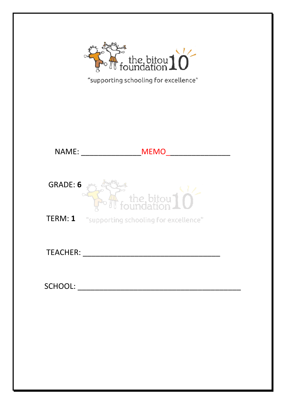

| <b>NAME:</b>    | <b>MEMO</b>                                         |
|-----------------|-----------------------------------------------------|
| <b>GRADE: 6</b> | $\sqrt{\frac{1}{1}}$ the bitou $\sqrt{\frac{1}{1}}$ |
| TERM: 1         | "supporting schooling for excellence"               |
| <b>TEACHER:</b> |                                                     |
| <b>SCHOOL:</b>  |                                                     |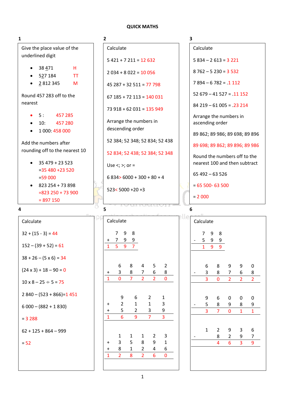#### **QUICK MATHS**

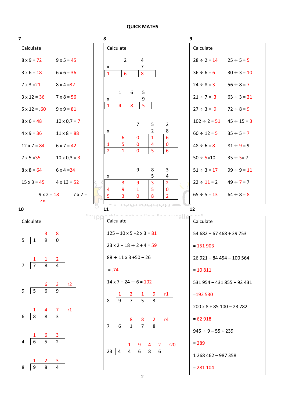#### **QUICK MATHS**

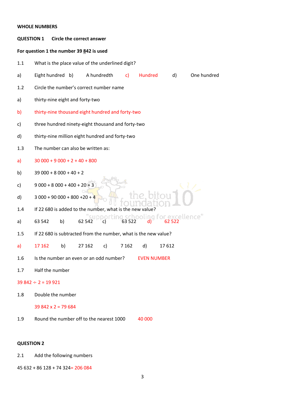# **WHOLE NUMBERS QUESTION 1 Circle the correct answer For question 1 the number 39 842 is used** 1.1 What is the place value of the underlined digit? a) Eight hundred b) A hundredth c) Hundred d) One hundred 1.2 Circle the number's correct number name a) thirty-nine eight and forty-two b) thirty-nine thousand eight hundred and forty-two c) three hundred ninety-eight thousand and forty-two d) thirty-nine million eight hundred and forty-two 1.3 The number can also be written as: a)  $30\,000 + 9\,000 + 2 + 40 + 800$ b)  $39\,000 + 8\,000 + 40 + 2$ c)  $9\,000 + 8\,000 + 400 + 20 + 3$ d)  $3000 + 90000 + 800 + 20 + 4$ 1.4 If 22 680 is added to the number, what is the new value? a) 63 542 b)  $\frac{1}{2}$  62 542 c) 63 522 d) 62 522 1.5 If 22 680 is subtracted from the number, what is the new value? a) 17 162 b) 27 162 c) 7 162 d) 17 612 1.6 Is the number an even or an odd number? EVEN NUMBER 1.7 Half the number  $39842 \div 2 = 19921$

1.8 Double the number

#### 39 842 x 2 = 79 684

1.9 Round the number off to the nearest 1000 40 000

# **QUESTION 2**

2.1 Add the following numbers

45 632 + 86 128 + 74 324= 206 084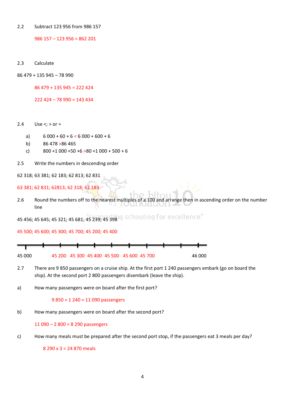2.2 Subtract 123 956 from 986 157

986 157 – 123 956 = 862 201

2.3 Calculate

86 479 + 135 945 – 78 990

86 479 + 135 945 = 222 424

222 424 – 78 990 = 143 434

2.4 Use  $\lt;$ ;  $>$  or =

- a)  $6\,000 + 60 + 6 < 6\,000 + 600 + 6$
- b) 86 478 >86 465
- c)  $800 + 1000 + 50 + 6 > 80 + 1000 + 500 + 6$
- 2.5 Write the numbers in descending order

62 318; 63 381; 62 183; 62 813; 62 831

63 381; 62 831; 62813; 62 318; 62 183

2.6 Round the numbers off to the nearest multiples of a 100 and arrange then in ascending order on the number line

45 456; 45 645; 45 321; 45 681; 45 239; 45 398 9 schooling for excellence"

45 500; 45 600; 45 300; 45 700; 45 200; 45 400



- 2.7 There are 9 850 passengers on a cruise ship. At the first port 1 240 passengers embark (go on board the ship). At the second port 2 800 passengers disembark (leave the ship).
- a) How many passengers were on board after the first port?

### 9 850 + 1 240 = 11 090 passengers

b) How many passengers were on board after the second port?

11 090 – 2 800 = 8 290 passengers

c) How many meals must be prepared after the second port stop, if the passengers eat 3 meals per day?

8 290 x 3 = 24 870 meals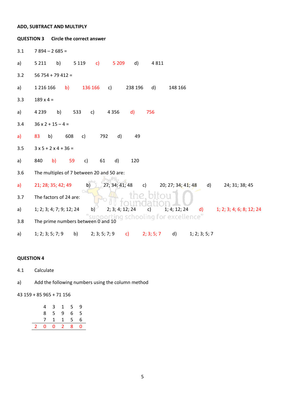#### ADD, SUBTRACT AND MULTIPLY **QUESTION 3** Circle the correct answer  $3.1$  $7894 - 2685 =$  $a)$ 5 211 b) 5 119 c) 5 209  $d)$ 4811  $3.2$  $56754 + 79412 =$ 1 216 166 b) 136 166  $c)$ 238 196  $d)$ 148 166  $a)$  $3.3$  $189 \times 4 =$  $a)$ 4 2 3 9 b) 533 c) 4 3 5 6  $\mathsf{d}$ 756  $3.4$  $36 \times 2 + 15 - 4 =$  $a)$ 83 b) 608 c) 792  $d)$ 49  $3.5$  $3x5 + 2x4 + 36 =$ 840 b) 59 61  $d)$ 120  $a)$  $\mathsf{C}$ ) The multiples of 7 between 20 and 50 are:  $3.6$ 21; 28; 35; 42; 49  $b)$  $27; 34; 41; 48$  c) 20; 27; 34; 41; 48  $a)$ d) 24; 31; 38; 45  $3.7$ The factors of 24 are: 1; 4; 12; 24  $2; 3; 4; 12; 24$  $a)$ 1; 2; 3; 4; 7; 9; 12; 24  $\mathsf{d}$ 1; 2; 3; 4; 6; 8; 12; 24  $b)$  $\mathsf{c}$ ) "Supporting schooling for excellence"<br>The prime numbers between 0 and 10  $3.8$  $2; 3; 5; 7; 9$  $a)$  $1; 2; 3; 5; 7; 9$ b) c)  $2; 3; 5; 7$  d)  $1; 2; 3; 5; 7$

# **QUESTION 4**

 $4.1$ Calculate

Add the following numbers using the column method  $a)$ 

43 159 + 85 965 + 71 156

|             | $\overline{4}$ | 3 <sup>7</sup> |   | $1\quad 5$        | 9              |
|-------------|----------------|----------------|---|-------------------|----------------|
|             |                | 8 5            | 9 | 6 5               |                |
|             |                |                |   | 7 1 1 5 6         |                |
| $2^{\circ}$ | $\overline{0}$ |                |   | $0\quad 2\quad 8$ | $\overline{0}$ |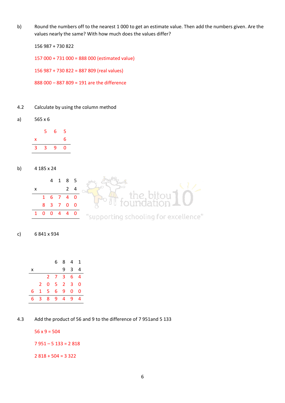b) Round the numbers off to the nearest 1 000 to get an estimate value. Then add the numbers given. Are the values nearly the same? With how much does the values differ?

156 987 + 730 822

157 000 + 731 000 = 888 000 (estimated value)

156 987 + 730 822 = 887 809 (real values)

888 000 – 887 809 = 191 are the difference

- 4.2 Calculate by using the column method
- a) 565 x 6

|   | 5 | 6 | 5 |
|---|---|---|---|
| x |   |   | 6 |
| 3 | 3 | 9 | O |

b) 4 185 x 24



c) 6 841 x 934

|    |                |                | 6.             | 8                   | $\overline{4}$ | 1 |
|----|----------------|----------------|----------------|---------------------|----------------|---|
| x  |                |                |                | 9                   | 3              | 4 |
|    |                |                | $2 \t7 \t3$    |                     | 6              | 4 |
|    | 2 <sup>7</sup> | 0              |                | $5 \quad 2 \quad 3$ |                | 0 |
| 6  | 1              | 5              | 6 <sup>1</sup> | 9                   | 0              | 0 |
| 6. | 3 <sup>7</sup> | 8 <sup>°</sup> | 9              | $\overline{4}$      | 9              | 4 |

4.3 Add the product of 56 and 9 to the difference of 7 951and 5 133

 $56 \times 9 = 504$ 

 $7951 - 5133 = 2818$ 

2 818 + 504 = 3 322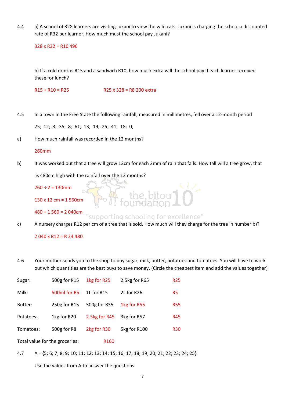4.4 a) A school of 328 learners are visiting Jukani to view the wild cats. Jukani is charging the school a discounted rate of R32 per learner. How much must the school pay Jukani?

328 x R32 = R10 496

b) If a cold drink is R15 and a sandwich R10, how much extra will the school pay if each learner received these for lunch?

R15 + R10 = R25 R25 x 328 = R8 200 extra

4.5 In a town in the Free State the following rainfall, measured in millimetres, fell over a 12-month period

25; 12; 3; 35; 8; 61; 13; 19; 25; 41; 18; 0;

a) How much rainfall was recorded in the 12 months?

#### 260mm

b) It was worked out that a tree will grow 12cm for each 2mm of rain that falls. How tall will a tree grow, that

is 480cm high with the rainfall over the 12 months?

 $260 \div 2 = 130$  mm

130 x 12 cm = 1 560cm

480 + 1 560 = 2 040cm supporting schooling for excellence"

the.bitou](<br>pundation]

c) A nursery charges R12 per cm of a tree that is sold. How much will they charge for the tree in number b)?

2 040 x R12 = R 24 480

4.6 Your mother sends you to the shop to buy sugar, milk, butter, potatoes and tomatoes. You will have to work out which quantities are the best buys to save money. (Circle the cheapest item and add the values together)

| Sugar:                         | 500g for R15 | 1kg for R25      | 2.5kg for R65 | <b>R25</b>     |
|--------------------------------|--------------|------------------|---------------|----------------|
| Milk:                          | 500ml for R5 | 1L for R15       | 2L for R26    | R <sub>5</sub> |
| Butter:                        | 250g for R15 | 500g for R35     | 1kg for R55   | <b>R55</b>     |
| Potatoes:                      | 1kg for R20  | 2.5kg for R45    | 3kg for R57   | R45            |
| Tomatoes:                      | 500g for R8  | 2kg for R30      | 5kg for R100  | <b>R30</b>     |
| Total value for the groceries: |              | R <sub>160</sub> |               |                |

4.7 A = {5; 6; 7; 8; 9; 10; 11; 12; 13; 14; 15; 16; 17; 18; 19; 20; 21; 22; 23; 24; 25}

Use the values from A to answer the questions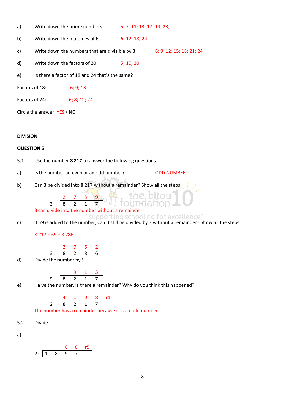| a) | Write down the prime numbers | 5; 7; 11; 13; 17; 19; 23; |
|----|------------------------------|---------------------------|
|----|------------------------------|---------------------------|

- b) Write down the multiples of  $6$  6; 12; 18; 24
- c) Write down the numbers that are divisible by  $3$  6; 9; 12; 15; 18; 21; 24
- d) Write down the factors of 20 5; 10; 20
- e) Is there a factor of 18 and 24 that's the same?
- Factors of 18: 6; 9; 18
- Factors of 24: 6; 8; 12; 24

Circle the answer: YES / NO

#### **DIVISION**

#### **QUESTION 5**

- 5.1 Use the number **8 217** to answer the following questions
- a) Is the number an even or an odd number? ODD NUMBER
- b) Can 3 be divided into 8 217 without a remainder? Show all the steps.

# 3 can divide into the number without a remainder

 $\begin{array}{ccccccccc}\n2 & 7 & 3 & 9 \\
\hline\n8 & 2 & 1 & 7\n\end{array}$ 3 8 2 1 7

c) If 69 is added to the number, can it still be divided by 3 without a remainder? Show all the steps.

 $8$  217 + 69 = 8 286

$$
\begin{array}{c|cccc}\n & 2 & 7 & 6 & 2 \\
3 & 8 & 2 & 8 & 6 \\
\end{array}
$$

d) Divide the number by 9.

$$
9 \quad \frac{9}{8} \quad \frac{1}{2} \quad \frac{3}{1} \quad \frac{1}{7}
$$

- 
- e) Halve the number. Is there a remainder? Why do you think this happened?

4 1 0 8 r1 2 8 2 1 7

The number has a remainder because it is an odd number

5.2 Divide

a)

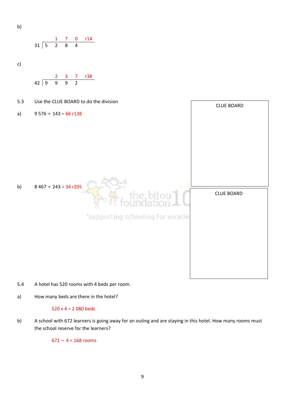$$
\mathsf{b})
$$

$$
\begin{array}{c|cccc}\n & 1 & 7 & 0 & r14 \\
31 & 5 & 2 & 8 & 4\n\end{array}
$$

c)

$$
42 \overline{\smash)9 \quad 9 \quad 9 \quad 2}
$$



- 5.4 A hotel has 520 rooms with 4 beds per room.
- a) How many beds are there in the hotel?

# 520 x 4 = 2 080 beds

b) A school with 672 learners is going away for an outing and are staying in this hotel. How many rooms must the school reserve for the learners?

 $672 \div 4 = 168$  rooms